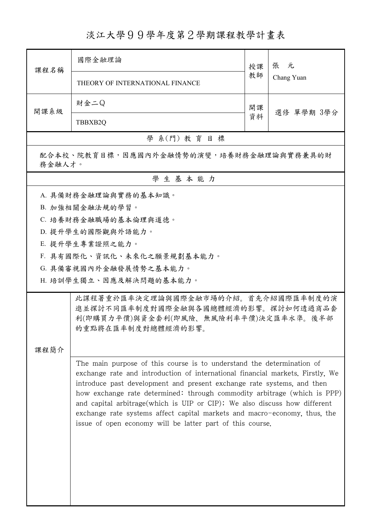## 淡江大學99學年度第2學期課程教學計畫表

| 課程名稱                                              | 國際金融理論                                                                                                                                                                                                                                                                                                                                                                                                                                                                                                                                | 授課 | 張 元        |  |
|---------------------------------------------------|---------------------------------------------------------------------------------------------------------------------------------------------------------------------------------------------------------------------------------------------------------------------------------------------------------------------------------------------------------------------------------------------------------------------------------------------------------------------------------------------------------------------------------------|----|------------|--|
|                                                   | THEORY OF INTERNATIONAL FINANCE                                                                                                                                                                                                                                                                                                                                                                                                                                                                                                       | 教師 | Chang Yuan |  |
| 開課系級                                              | 財金二Q                                                                                                                                                                                                                                                                                                                                                                                                                                                                                                                                  | 開課 | 選修 單學期 3學分 |  |
|                                                   | TBBXB2Q                                                                                                                                                                                                                                                                                                                                                                                                                                                                                                                               | 資料 |            |  |
|                                                   | 學 系(門) 教育目標                                                                                                                                                                                                                                                                                                                                                                                                                                                                                                                           |    |            |  |
| 配合本校、院教育目標,因應國內外金融情勢的演變,培養財務金融理論與實務兼具的財<br>務金融人才。 |                                                                                                                                                                                                                                                                                                                                                                                                                                                                                                                                       |    |            |  |
|                                                   | 學生基本能力                                                                                                                                                                                                                                                                                                                                                                                                                                                                                                                                |    |            |  |
|                                                   | A. 具備財務金融理論與實務的基本知識。                                                                                                                                                                                                                                                                                                                                                                                                                                                                                                                  |    |            |  |
|                                                   | B. 加強相關金融法規的學習。                                                                                                                                                                                                                                                                                                                                                                                                                                                                                                                       |    |            |  |
|                                                   | C. 培養財務金融職場的基本倫理與道德。                                                                                                                                                                                                                                                                                                                                                                                                                                                                                                                  |    |            |  |
|                                                   | D. 提升學生的國際觀與外語能力。                                                                                                                                                                                                                                                                                                                                                                                                                                                                                                                     |    |            |  |
|                                                   | E. 提升學生專業證照之能力。                                                                                                                                                                                                                                                                                                                                                                                                                                                                                                                       |    |            |  |
|                                                   | F. 具有國際化、資訊化、未來化之願景規劃基本能力。                                                                                                                                                                                                                                                                                                                                                                                                                                                                                                            |    |            |  |
|                                                   | G. 具備審視國內外金融發展情勢之基本能力。                                                                                                                                                                                                                                                                                                                                                                                                                                                                                                                |    |            |  |
|                                                   | H. 培訓學生獨立、因應及解決問題的基本能力。                                                                                                                                                                                                                                                                                                                                                                                                                                                                                                               |    |            |  |
| 課程簡介                                              | 此課程著重於匯率決定理論與國際金融市場的介紹。首先介紹國際匯率制度的演<br>進並探討不同匯率制度對國際金融與各國總體經濟的影響。探討如何透過商品套<br>利(即購買力平價)與資金套利(即風險、無風險利率平價)決定匯率水準。後半部<br>的重點將在匯率制度對總體經濟的影響。                                                                                                                                                                                                                                                                                                                                                                                             |    |            |  |
|                                                   |                                                                                                                                                                                                                                                                                                                                                                                                                                                                                                                                       |    |            |  |
|                                                   | The main purpose of this course is to understand the determination of<br>exchange rate and introduction of international financial markets. Firstly, We<br>introduce past development and present exchange rate systems, and then<br>how exchange rate determined: through commodity arbitrage (which is PPP)<br>and capital arbitrage (which is UIP or CIP); We also discuss how different<br>exchange rate systems affect capital markets and macro-economy, thus, the<br>issue of open economy will be latter part of this course. |    |            |  |
|                                                   |                                                                                                                                                                                                                                                                                                                                                                                                                                                                                                                                       |    |            |  |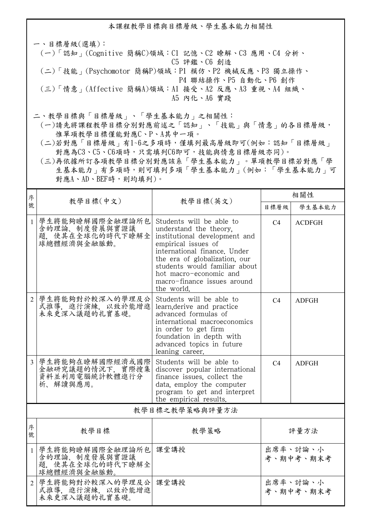本課程教學目標與目標層級、學生基本能力相關性

一、目標層級(選填): (一)「認知」(Cognitive 簡稱C)領域:C1 記憶、C2 瞭解、C3 應用、C4 分析、 C5 評鑑、C6 創造 (二)「技能」(Psychomotor 簡稱P)領域:P1 模仿、P2 機械反應、P3 獨立操作、 P4 聯結操作、P5 自動化、P6 創作 (三)「情意」(Affective 簡稱A)領域:A1 接受、A2 反應、A3 重視、A4 組織、 A5 內化、A6 實踐

二、教學目標與「目標層級」、「學生基本能力」之相關性:

 (一)請先將課程教學目標分別對應前述之「認知」、「技能」與「情意」的各目標層級, 惟單項教學目標僅能對應C、P、A其中一項。

 (二)若對應「目標層級」有1~6之多項時,僅填列最高層級即可(例如:認知「目標層級」 對應為C3、C5、C6項時,只需填列C6即可,技能與情意目標層級亦同)。

 (三)再依據所訂各項教學目標分別對應該系「學生基本能力」。單項教學目標若對應「學 生基本能力」有多項時,則可填列多項「學生基本能力」(例如:「學生基本能力」可 對應A、AD、BEF時,則均填列)。

| 序                           |                                                                     |                                                                                                                                                                                                                                                                                     | 相關性                   |                       |  |  |
|-----------------------------|---------------------------------------------------------------------|-------------------------------------------------------------------------------------------------------------------------------------------------------------------------------------------------------------------------------------------------------------------------------------|-----------------------|-----------------------|--|--|
| 號                           | 教學目標(中文)                                                            | 教學目標(英文)                                                                                                                                                                                                                                                                            | 目標層級                  | 學生基本能力                |  |  |
|                             | 學生將能夠瞭解國際金融理論所包<br>含的理論、制度發展與實證議<br>題. 使其在全球化的時代下瞭解全<br>球總體經濟與金融脈動。 | Students will be able to<br>understand the theory.<br>institutional development and<br>empirical issues of<br>international finance. Under<br>the era of globalization, our<br>students would familiar about<br>hot macro-economic and<br>macro-finance issues around<br>the world. | C <sub>4</sub>        | <b>ACDFGH</b>         |  |  |
| $\mathcal{D}$               | 學生將能夠對於較深入的學理及公<br>式推導,進行演練,以致於能增進<br>未來更深入議題的扎實基礎。                 | Students will be able to<br>learn, derive and practice<br>advanced formulas of<br>international macroeconomics<br>in order to get firm<br>foundation in depth with<br>advanced topics in future<br>leaning career.                                                                  | C4                    | <b>ADFGH</b>          |  |  |
| $\overline{\mathcal{E}}$    | 學生將能夠在瞭解國際經濟或國際<br>金融研究議題的情況下, 實際搜集<br>資料並利用電腦統計軟體進行分<br>析、解讀與應用。   | Students will be able to<br>discover popular international<br>finance issues, collect the<br>data, employ the computer<br>program to get and interpret<br>the empirical results.                                                                                                    | C <sub>4</sub>        | <b>ADFGH</b>          |  |  |
|                             | 教學目標之教學策略與評量方法                                                      |                                                                                                                                                                                                                                                                                     |                       |                       |  |  |
| 序<br>號                      | 教學目標                                                                | 教學策略                                                                                                                                                                                                                                                                                |                       | 評量方法                  |  |  |
| $\mathbf{1}$                | 學生將能夠瞭解國際金融理論所包<br>含的理論、制度發展與實證議<br>題, 使其在全球化的時代下瞭解全<br>球總體經濟與金融脈動。 | 課堂講授                                                                                                                                                                                                                                                                                | 出席率、討論、小<br>考、期中考、期末考 |                       |  |  |
| $\mathcal{D}_{\mathcal{L}}$ | 學生將能夠對於較深入的學理及公<br>式推導、進行演練、以致於能增進<br>未來更深入議題的扎實基礎。                 | 課堂講授                                                                                                                                                                                                                                                                                |                       | 出席率、討論、小<br>考、期中考、期末考 |  |  |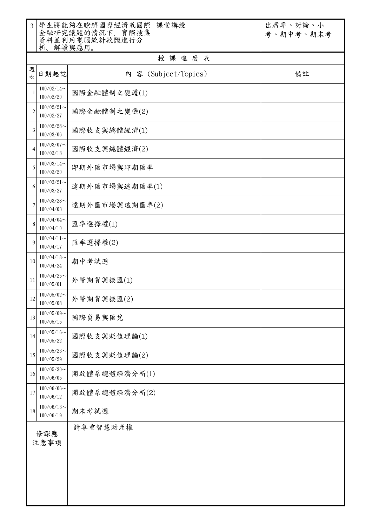| $\overline{3}$          | 析、解讀與應用。                   | 學生將能夠在瞭解國際經濟或國際<br>課堂講授<br>金融研究議題的情況下, 實際搜集<br>資料並利用電腦統計軟體進行分 | 出席率、討論、小<br>考、期中考、期末考 |  |  |  |
|-------------------------|----------------------------|---------------------------------------------------------------|-----------------------|--|--|--|
|                         | 授課進度表                      |                                                               |                       |  |  |  |
| 週<br>次                  | 日期起訖                       | 内 容 (Subject/Topics)                                          | 備註                    |  |  |  |
| 1                       | $100/02/14$ ~<br>100/02/20 | 國際金融體制之變遷(1)                                                  |                       |  |  |  |
| 2                       | $100/02/21$ ~<br>100/02/27 | 國際金融體制之變遷(2)                                                  |                       |  |  |  |
| 3                       | $100/02/28$ ~<br>100/03/06 | 國際收支與總體經濟(1)                                                  |                       |  |  |  |
| 4                       | $100/03/07$ ~<br>100/03/13 | 國際收支與總體經濟(2)                                                  |                       |  |  |  |
| 5                       | $100/03/14$ ~<br>100/03/20 | 即期外匯市場與即期匯率                                                   |                       |  |  |  |
| 6                       | $100/03/21$ ~<br>100/03/27 | 遠期外匯市場與遠期匯率(1)                                                |                       |  |  |  |
| 7                       | $100/03/28$ ~<br>100/04/03 | 遠期外匯市場與遠期匯率(2)                                                |                       |  |  |  |
| 8                       | $100/04/04$ ~<br>100/04/10 | 匯率選擇權(1)                                                      |                       |  |  |  |
| 9                       | $100/04/11$ ~<br>100/04/17 | 匯率選擇權(2)                                                      |                       |  |  |  |
| 10                      | $100/04/18$ ~<br>100/04/24 | 期中考試週                                                         |                       |  |  |  |
| 11                      | $100/04/25$ ~<br>100/05/01 | 外幣期貨與換匯(1)                                                    |                       |  |  |  |
| 12                      | $100/05/02$ ~<br>100/05/08 | 外幣期貨與換匯(2)                                                    |                       |  |  |  |
| 13                      | $100/05/09$ ~<br>100/05/15 | 國際貿易與匯兌                                                       |                       |  |  |  |
| 14                      | $100/05/16$ ~<br>100/05/22 | 國際收支與貶值理論(1)                                                  |                       |  |  |  |
| 15                      | $100/05/23$ ~<br>100/05/29 | 國際收支與貶值理論(2)                                                  |                       |  |  |  |
| 16                      | $100/05/30$ ~<br>100/06/05 | 開放體系總體經濟分析(1)                                                 |                       |  |  |  |
| 17                      | $100/06/06$ ~<br>100/06/12 | 開放體系總體經濟分析(2)                                                 |                       |  |  |  |
| 18                      | $100/06/13$ ~<br>100/06/19 | 期末考試週                                                         |                       |  |  |  |
| 請尊重智慧財產權<br>修課應<br>注意事項 |                            |                                                               |                       |  |  |  |
|                         |                            |                                                               |                       |  |  |  |